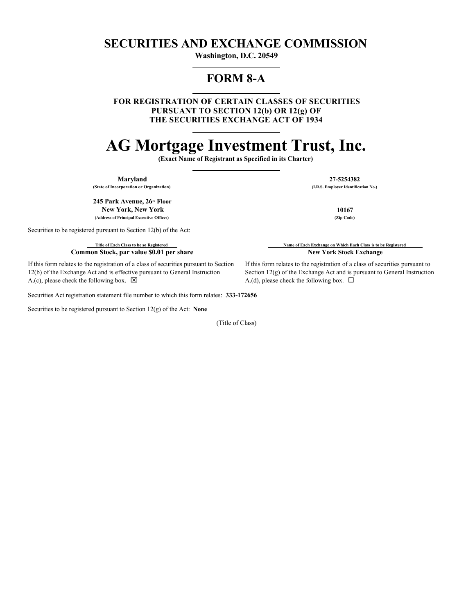## **SECURITIES AND EXCHANGE COMMISSION**

**Washington, D.C. 20549**

## **FORM 8-A**

**FOR REGISTRATION OF CERTAIN CLASSES OF SECURITIES PURSUANT TO SECTION 12(b) OR 12(g) OF THE SECURITIES EXCHANGE ACT OF 1934**

# **AG Mortgage Investment Trust, Inc.**

**(Exact Name of Registrant as Specified in its Charter)**

**(State of Incorporation or Organization)** 

**245 Park Avenue, 26 Floor thNew York, New York 10167 (Address of Principal Executive Offices) (Zip Code)**

Securities to be registered pursuant to Section 12(b) of the Act:

**Common Stock, par value \$0.01 per share New York Stock Exchange** 

If this form relates to the registration of a class of securities pursuant to Section 12(b) of the Exchange Act and is effective pursuant to General Instruction A.(c), please check the following box.  $\boxtimes$ 

Securities Act registration statement file number to which this form relates: **333-172656**

Securities to be registered pursuant to Section 12(g) of the Act: **None**

(Title of Class)

**Maryland 27-5254382**<br> **1.R.S. Employer Identification 27-5254382**<br> **1.R.S. Employer Identification No.** 

**Title of Each Class to be so Registered Name of Each Exchange on Which Each Class is to be Registered** 

If this form relates to the registration of a class of securities pursuant to Section 12(g) of the Exchange Act and is pursuant to General Instruction A.(d), please check the following box.  $\Box$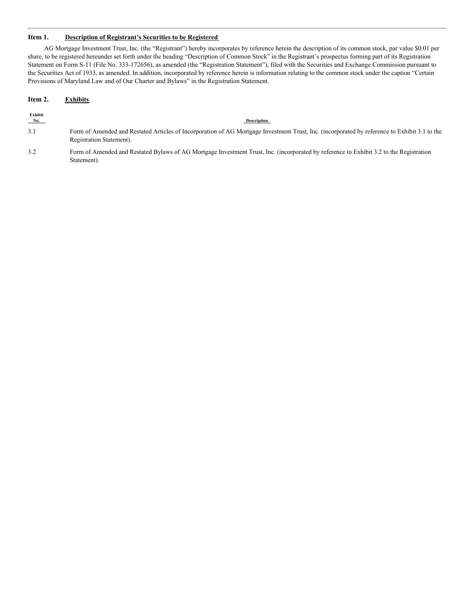### **Item 1. Description of Registrant's Securities to be Registered**

AG Mortgage Investment Trust, Inc. (the "Registrant") hereby incorporates by reference herein the description of its common stock, par value \$0.01 per share, to be registered hereunder set forth under the heading "Description of Common Stock" in the Registrant's prospectus forming part of its Registration Statement on Form S-11 (File No. 333-172656), as amended (the "Registration Statement"), filed with the Securities and Exchange Commission pursuant to the Securities Act of 1933, as amended. In addition, incorporated by reference herein is information relating to the common stock under the caption "Certain Provisions of Maryland Law and of Our Charter and Bylaws" in the Registration Statement.

#### **Item 2. Exhibits**

| Exhibit<br>No. | <b>Description</b>                                                                                                                                                        |
|----------------|---------------------------------------------------------------------------------------------------------------------------------------------------------------------------|
| 3.1            | Form of Amended and Restated Articles of Incorporation of AG Mortgage Investment Trust, Inc. (incorporated by reference to Exhibit 3.1 to the<br>Registration Statement). |

3.2 Form of Amended and Restated Bylaws of AG Mortgage Investment Trust, Inc. (incorporated by reference to Exhibit 3.2 to the Registration Statement).